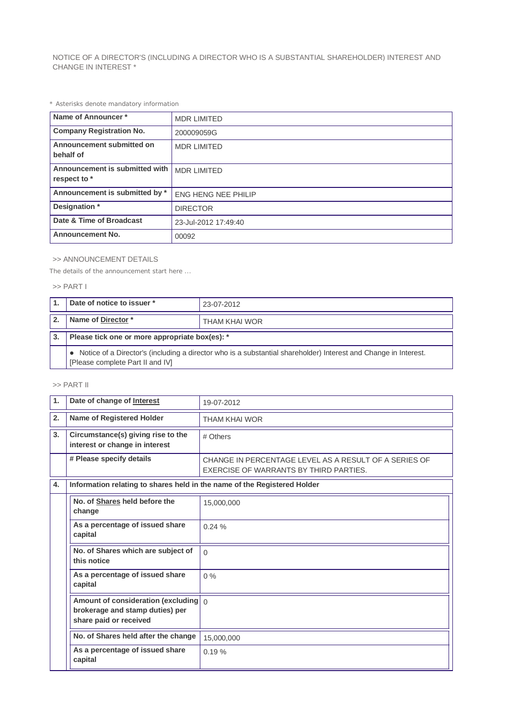NOTICE OF A DIRECTOR'S (INCLUDING A DIRECTOR WHO IS A SUBSTANTIAL SHAREHOLDER) INTEREST AND CHANGE IN INTEREST \*

*\* Asterisks denote mandatory information*

| Name of Announcer*                             | <b>MDR LIMITED</b>         |
|------------------------------------------------|----------------------------|
| <b>Company Registration No.</b>                | 200009059G                 |
| Announcement submitted on<br>behalf of         | <b>MDR LIMITED</b>         |
| Announcement is submitted with<br>respect to * | <b>MDR LIMITED</b>         |
| Announcement is submitted by *                 | <b>ENG HENG NEE PHILIP</b> |
| Designation *                                  | <b>DIRECTOR</b>            |
| Date & Time of Broadcast                       | 23-Jul-2012 17:49:40       |
| <b>Announcement No.</b>                        | 00092                      |

## >> ANNOUNCEMENT DETAILS

*The details of the announcement start here ...*

## >> PART I

| Date of notice to issuer *                                                                                                                            | 23-07-2012    |  |
|-------------------------------------------------------------------------------------------------------------------------------------------------------|---------------|--|
| Name of Director*                                                                                                                                     | THAM KHAI WOR |  |
| Please tick one or more appropriate box(es): *                                                                                                        |               |  |
| • Notice of a Director's (including a director who is a substantial shareholder) Interest and Change in Interest.<br>[Please complete Part II and IV] |               |  |

## >> PART II

| $\mathbf{1}$ . | Date of change of Interest                                                                                 | 19-07-2012                                                                                      |  |
|----------------|------------------------------------------------------------------------------------------------------------|-------------------------------------------------------------------------------------------------|--|
| 2.             | Name of Registered Holder                                                                                  | <b>THAM KHAI WOR</b>                                                                            |  |
| 3.             | Circumstance(s) giving rise to the<br>interest or change in interest                                       | # Others                                                                                        |  |
|                | # Please specify details                                                                                   | CHANGE IN PERCENTAGE LEVEL AS A RESULT OF A SERIES OF<br>EXERCISE OF WARRANTS BY THIRD PARTIES. |  |
| 4.             | Information relating to shares held in the name of the Registered Holder                                   |                                                                                                 |  |
|                | No. of Shares held before the<br>change                                                                    | 15,000,000                                                                                      |  |
|                | As a percentage of issued share<br>capital                                                                 | 0.24%                                                                                           |  |
|                | No. of Shares which are subject of<br>this notice                                                          | $\Omega$                                                                                        |  |
|                | As a percentage of issued share<br>capital                                                                 | $0\%$                                                                                           |  |
|                | Amount of consideration (excluding $\int_0^1$<br>brokerage and stamp duties) per<br>share paid or received |                                                                                                 |  |
|                | No. of Shares held after the change                                                                        | 15,000,000                                                                                      |  |
|                | As a percentage of issued share<br>capital                                                                 | 0.19%                                                                                           |  |